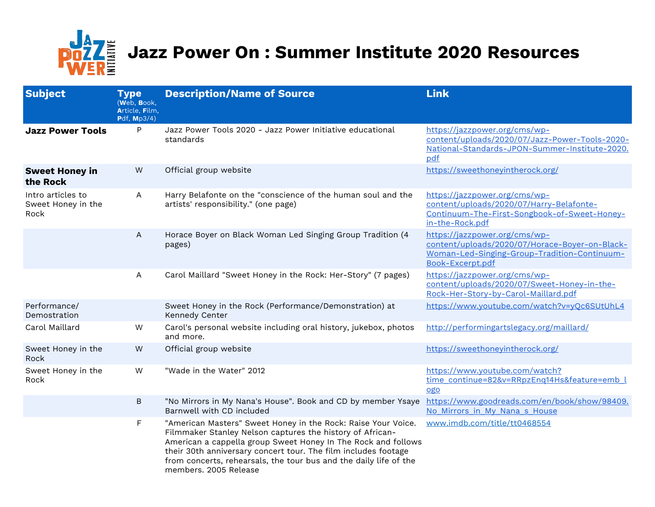

## **DOZZE Jazz Power On : Summer Institute 2020 Resources**

| <b>Subject</b>                                  | <b>Type</b><br>(Web, Book,<br>Article, Film,<br>Pdf, Mp3/4) | <b>Description/Name of Source</b>                                                                                                                                                                                                                                                                                                                           | <b>Link</b>                                                                                                                                         |
|-------------------------------------------------|-------------------------------------------------------------|-------------------------------------------------------------------------------------------------------------------------------------------------------------------------------------------------------------------------------------------------------------------------------------------------------------------------------------------------------------|-----------------------------------------------------------------------------------------------------------------------------------------------------|
| <b>Jazz Power Tools</b>                         | P                                                           | Jazz Power Tools 2020 - Jazz Power Initiative educational<br>standards                                                                                                                                                                                                                                                                                      | https://jazzpower.org/cms/wp-<br>content/uploads/2020/07/Jazz-Power-Tools-2020-<br>National-Standards-JPON-Summer-Institute-2020.<br>pdf            |
| <b>Sweet Honey in</b><br>the Rock               | ${\sf W}$                                                   | Official group website                                                                                                                                                                                                                                                                                                                                      | https://sweethoneyintherock.org/                                                                                                                    |
| Intro articles to<br>Sweet Honey in the<br>Rock | $\mathsf{A}$                                                | Harry Belafonte on the "conscience of the human soul and the<br>artists' responsibility." (one page)                                                                                                                                                                                                                                                        | https://jazzpower.org/cms/wp-<br>content/uploads/2020/07/Harry-Belafonte-<br>Continuum-The-First-Songbook-of-Sweet-Honey-<br>in-the-Rock.pdf        |
|                                                 | A                                                           | Horace Boyer on Black Woman Led Singing Group Tradition (4<br>pages)                                                                                                                                                                                                                                                                                        | https://jazzpower.org/cms/wp-<br>content/uploads/2020/07/Horace-Boyer-on-Black-<br>Woman-Led-Singing-Group-Tradition-Continuum-<br>Book-Excerpt.pdf |
|                                                 | $\mathsf{A}$                                                | Carol Maillard "Sweet Honey in the Rock: Her-Story" (7 pages)                                                                                                                                                                                                                                                                                               | https://jazzpower.org/cms/wp-<br>content/uploads/2020/07/Sweet-Honey-in-the-<br>Rock-Her-Story-by-Carol-Maillard.pdf                                |
| Performance/<br>Demostration                    |                                                             | Sweet Honey in the Rock (Performance/Demonstration) at<br>Kennedy Center                                                                                                                                                                                                                                                                                    | https://www.youtube.com/watch?v=yQc6SUtUhL4                                                                                                         |
| Carol Maillard                                  | W                                                           | Carol's personal website including oral history, jukebox, photos<br>and more.                                                                                                                                                                                                                                                                               | http://performingartslegacy.org/maillard/                                                                                                           |
| Sweet Honey in the<br>Rock                      | ${\sf W}$                                                   | Official group website                                                                                                                                                                                                                                                                                                                                      | https://sweethoneyintherock.org/                                                                                                                    |
| Sweet Honey in the<br>Rock                      | W                                                           | "Wade in the Water" 2012                                                                                                                                                                                                                                                                                                                                    | https://www.youtube.com/watch?<br>time_continue=82&v=RRpzEnq14Hs&feature=emb_l<br>ogo                                                               |
|                                                 | $\sf B$                                                     | "No Mirrors in My Nana's House". Book and CD by member Ysaye<br>Barnwell with CD included                                                                                                                                                                                                                                                                   | https://www.goodreads.com/en/book/show/98409.<br>No Mirrors in My Nana s House                                                                      |
|                                                 | F                                                           | "American Masters" Sweet Honey in the Rock: Raise Your Voice.<br>Filmmaker Stanley Nelson captures the history of African-<br>American a cappella group Sweet Honey In The Rock and follows<br>their 30th anniversary concert tour. The film includes footage<br>from concerts, rehearsals, the tour bus and the daily life of the<br>members. 2005 Release | www.imdb.com/title/tt0468554                                                                                                                        |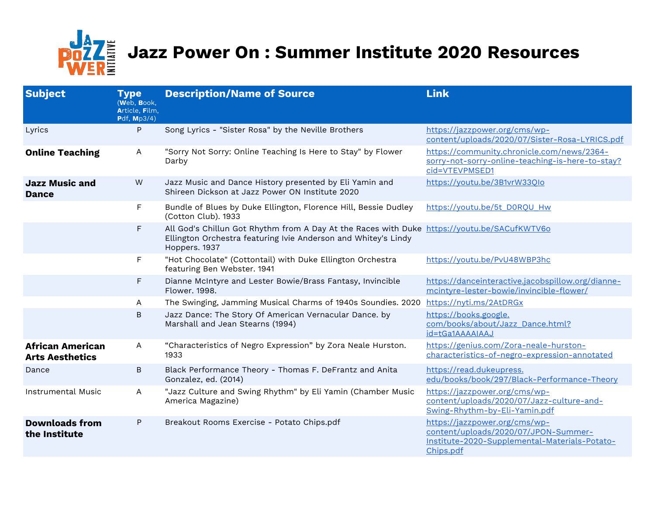

## **Pozz** Jazz Power On : Summer Institute 2020 Resources

| <b>Subject</b>                                    | <b>Type</b><br>(Web, Book,<br>Article, Film,<br>Pdf, Mp3/4) | <b>Description/Name of Source</b>                                                                                                                                              | <b>Link</b>                                                                                                                         |
|---------------------------------------------------|-------------------------------------------------------------|--------------------------------------------------------------------------------------------------------------------------------------------------------------------------------|-------------------------------------------------------------------------------------------------------------------------------------|
| Lyrics                                            | P                                                           | Song Lyrics - "Sister Rosa" by the Neville Brothers                                                                                                                            | https://jazzpower.org/cms/wp-<br>content/uploads/2020/07/Sister-Rosa-LYRICS.pdf                                                     |
| <b>Online Teaching</b>                            | A                                                           | "Sorry Not Sorry: Online Teaching Is Here to Stay" by Flower<br>Darby                                                                                                          | https://community.chronicle.com/news/2364-<br>sorry-not-sorry-online-teaching-is-here-to-stay?<br>cid=VTEVPMSED1                    |
| <b>Jazz Music and</b><br><b>Dance</b>             | W                                                           | Jazz Music and Dance History presented by Eli Yamin and<br>Shireen Dickson at Jazz Power ON Institute 2020                                                                     | https://youtu.be/3B1vrW33Qlo                                                                                                        |
|                                                   | F                                                           | Bundle of Blues by Duke Ellington, Florence Hill, Bessie Dudley<br>(Cotton Club). 1933                                                                                         | https://youtu.be/5t_D0RQU_Hw                                                                                                        |
|                                                   | F.                                                          | All God's Chillun Got Rhythm from A Day At the Races with Duke https://youtu.be/SACufKWTV60<br>Ellington Orchestra featuring Ivie Anderson and Whitey's Lindy<br>Hoppers. 1937 |                                                                                                                                     |
|                                                   | F.                                                          | "Hot Chocolate" (Cottontail) with Duke Ellington Orchestra<br>featuring Ben Webster. 1941                                                                                      | https://youtu.be/PvU48WBP3hc                                                                                                        |
|                                                   | F                                                           | Dianne McIntyre and Lester Bowie/Brass Fantasy, Invincible<br>Flower, 1998.                                                                                                    | https://danceinteractive.jacobspillow.org/dianne-<br>mcintyre-lester-bowie/invincible-flower/                                       |
|                                                   | A                                                           | The Swinging, Jamming Musical Charms of 1940s Soundies. 2020                                                                                                                   | https://nyti.ms/2AtDRGx                                                                                                             |
|                                                   | B                                                           | Jazz Dance: The Story Of American Vernacular Dance. by<br>Marshall and Jean Stearns (1994)                                                                                     | https://books.google.<br>com/books/about/Jazz Dance.html?<br>id=tGa1AAAAIAAJ                                                        |
| <b>African American</b><br><b>Arts Aesthetics</b> | Α                                                           | "Characteristics of Negro Expression" by Zora Neale Hurston.<br>1933                                                                                                           | https://genius.com/Zora-neale-hurston-<br>characteristics-of-negro-expression-annotated                                             |
| Dance                                             | B                                                           | Black Performance Theory - Thomas F. DeFrantz and Anita<br>Gonzalez, ed. (2014)                                                                                                | https://read.dukeupress.<br>edu/books/book/297/Black-Performance-Theory                                                             |
| <b>Instrumental Music</b>                         | A                                                           | "Jazz Culture and Swing Rhythm" by Eli Yamin (Chamber Music<br>America Magazine)                                                                                               | https://jazzpower.org/cms/wp-<br>content/uploads/2020/07/Jazz-culture-and-<br>Swing-Rhythm-by-Eli-Yamin.pdf                         |
| <b>Downloads from</b><br>the Institute            | P                                                           | Breakout Rooms Exercise - Potato Chips.pdf                                                                                                                                     | https://jazzpower.org/cms/wp-<br>content/uploads/2020/07/JPON-Summer-<br>Institute-2020-Supplemental-Materials-Potato-<br>Chips.pdf |